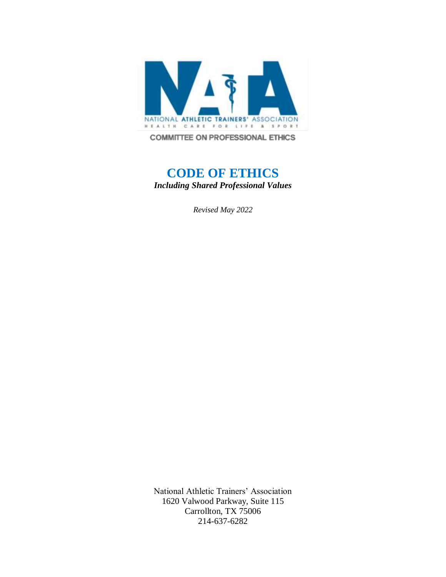

**COMMITTEE ON PROFESSIONAL ETHICS** 

# **CODE OF ETHICS** *Including Shared Professional Values*

*Revised May 2022*

National Athletic Trainers' Association 1620 Valwood Parkway, Suite 115 Carrollton, TX 75006 214-637-6282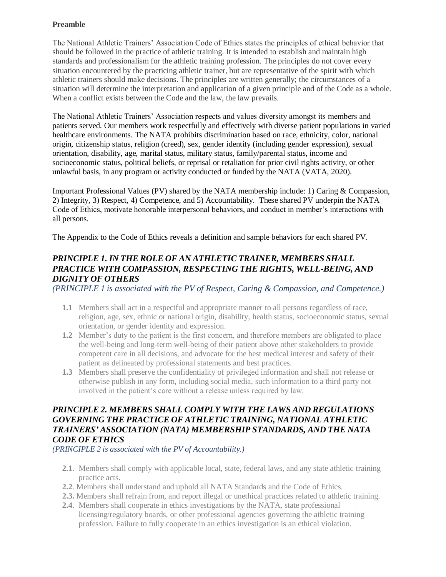#### **Preamble**

The National Athletic Trainers' Association Code of Ethics states the principles of ethical behavior that should be followed in the practice of athletic training. It is intended to establish and maintain high standards and professionalism for the athletic training profession. The principles do not cover every situation encountered by the practicing athletic trainer, but are representative of the spirit with which athletic trainers should make decisions. The principles are written generally; the circumstances of a situation will determine the interpretation and application of a given principle and of the Code as a whole. When a conflict exists between the Code and the law, the law prevails.

The National Athletic Trainers' Association respects and values diversity amongst its members and patients served. Our members work respectfully and effectively with diverse patient populations in varied healthcare environments. The NATA prohibits discrimination based on race, ethnicity, color, national origin, citizenship status, religion (creed), sex, gender identity (including gender expression), sexual orientation, disability, age, marital status, military status, family/parental status, income and socioeconomic status, political beliefs, or reprisal or retaliation for prior civil rights activity, or other unlawful basis, in any program or activity conducted or funded by the NATA (VATA, 2020).

Important Professional Values (PV) shared by the NATA membership include: 1) Caring & Compassion, 2) Integrity, 3) Respect, 4) Competence, and 5) Accountability. These shared PV underpin the NATA Code of Ethics, motivate honorable interpersonal behaviors, and conduct in member's interactions with all persons.

The Appendix to the Code of Ethics reveals a definition and sample behaviors for each shared PV.

### *PRINCIPLE 1. IN THE ROLE OF AN ATHLETIC TRAINER, MEMBERS SHALL PRACTICE WITH COMPASSION, RESPECTING THE RIGHTS, WELL-BEING, AND DIGNITY OF OTHERS*

*(PRINCIPLE 1 is associated with the PV of Respect, Caring & Compassion, and Competence.)*

- **1.1** Members shall act in a respectful and appropriate manner to all persons regardless of race, religion, age, sex, ethnic or national origin, disability, health status, socioeconomic status, sexual orientation, or gender identity and expression.
- **1.2** Member's duty to the patient is the first concern, and therefore members are obligated to place the well-being and long-term well-being of their patient above other stakeholders to provide competent care in all decisions, and advocate for the best medical interest and safety of their patient as delineated by professional statements and best practices.
- **1.3** Members shall preserve the confidentiality of privileged information and shall not release or otherwise publish in any form, including social media, such information to a third party not involved in the patient's care without a release unless required by law.

### *PRINCIPLE 2. MEMBERS SHALL COMPLY WITH THE LAWS AND REGULATIONS GOVERNING THE PRACTICE OF ATHLETIC TRAINING, NATIONAL ATHLETIC TRAINERS' ASSOCIATION (NATA) MEMBERSHIP STANDARDS, AND THE NATA CODE OF ETHICS*

*(PRINCIPLE 2 is associated with the PV of Accountability.)*

- **2.1**. Members shall comply with applicable local, state, federal laws, and any state athletic training practice acts.
- **2.2**. Members shall understand and uphold all NATA Standards and the Code of Ethics.
- **2.3.** Members shall refrain from, and report illegal or unethical practices related to athletic training.
- **2.4**. Members shall cooperate in ethics investigations by the NATA, state professional licensing/regulatory boards, or other professional agencies governing the athletic training profession. Failure to fully cooperate in an ethics investigation is an ethical violation.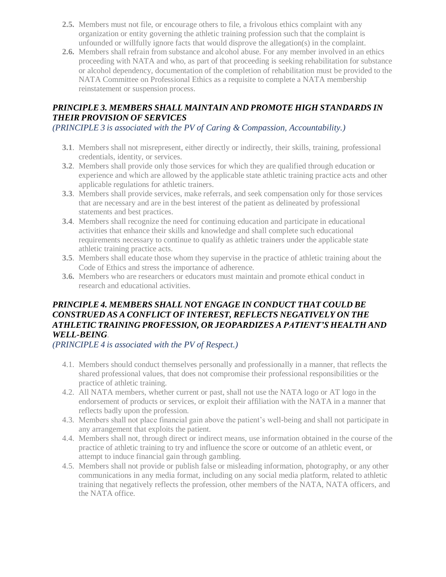- **2.5.** Members must not file, or encourage others to file, a frivolous ethics complaint with any organization or entity governing the athletic training profession such that the complaint is unfounded or willfully ignore facts that would disprove the allegation(s) in the complaint.
- **2.6.** Members shall refrain from substance and alcohol abuse. For any member involved in an ethics proceeding with NATA and who, as part of that proceeding is seeking rehabilitation for substance or alcohol dependency, documentation of the completion of rehabilitation must be provided to the NATA Committee on Professional Ethics as a requisite to complete a NATA membership reinstatement or suspension process.

## *PRINCIPLE 3. MEMBERS SHALL MAINTAIN AND PROMOTE HIGH STANDARDS IN THEIR PROVISION OF SERVICES*

*(PRINCIPLE 3 is associated with the PV of Caring & Compassion, Accountability.)*

- **3.1**. Members shall not misrepresent, either directly or indirectly, their skills, training, professional credentials, identity, or services.
- **3.2**. Members shall provide only those services for which they are qualified through education or experience and which are allowed by the applicable state athletic training practice acts and other applicable regulations for athletic trainers.
- **3.3**. Members shall provide services, make referrals, and seek compensation only for those services that are necessary and are in the best interest of the patient as delineated by professional statements and best practices.
- **3.4**. Members shall recognize the need for continuing education and participate in educational activities that enhance their skills and knowledge and shall complete such educational requirements necessary to continue to qualify as athletic trainers under the applicable state athletic training practice acts.
- **3.5**. Members shall educate those whom they supervise in the practice of athletic training about the Code of Ethics and stress the importance of adherence.
- **3.6.** Members who are researchers or educators must maintain and promote ethical conduct in research and educational activities.

## *PRINCIPLE 4. MEMBERS SHALL NOT ENGAGE IN CONDUCT THAT COULD BE CONSTRUED AS A CONFLICT OF INTEREST, REFLECTS NEGATIVELY ON THE ATHLETIC TRAINING PROFESSION, OR JEOPARDIZES A PATIENT'S HEALTH AND WELL-BEING.*

*(PRINCIPLE 4 is associated with the PV of Respect.)*

- 4.1. Members should conduct themselves personally and professionally in a manner, that reflects the shared professional values, that does not compromise their professional responsibilities or the practice of athletic training.
- 4.2. All NATA members, whether current or past, shall not use the NATA logo or AT logo in the endorsement of products or services, or exploit their affiliation with the NATA in a manner that reflects badly upon the profession.
- 4.3. Members shall not place financial gain above the patient's well-being and shall not participate in any arrangement that exploits the patient.
- 4.4. Members shall not, through direct or indirect means, use information obtained in the course of the practice of athletic training to try and influence the score or outcome of an athletic event, or attempt to induce financial gain through gambling.
- 4.5. Members shall not provide or publish false or misleading information, photography, or any other communications in any media format, including on any social media platform, related to athletic training that negatively reflects the profession, other members of the NATA, NATA officers, and the NATA office.